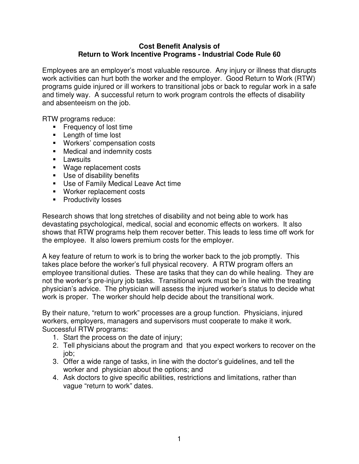## **Cost Benefit Analysis of Return to Work Incentive Programs - Industrial Code Rule 60**

Employees are an employer's most valuable resource. Any injury or illness that disrupts work activities can hurt both the worker and the employer. Good Return to Work (RTW) programs guide injured or ill workers to transitional jobs or back to regular work in a safe and timely way. A successful return to work program controls the effects of disability and absenteeism on the job.

RTW programs reduce:

- **Figuency of lost time**
- **Length of time lost**
- **Workers' compensation costs**
- **Medical and indemnity costs**
- **Lawsuits**
- **Wage replacement costs**
- **Use of disability benefits**
- **Use of Family Medical Leave Act time**
- **Worker replacement costs**
- **Productivity losses**

Research shows that long stretches of disability and not being able to work has devastating psychological, medical, social and economic effects on workers. It also shows that RTW programs help them recover better. This leads to less time off work for the employee. It also lowers premium costs for the employer.

A key feature of return to work is to bring the worker back to the job promptly. This takes place before the worker's full physical recovery. A RTW program offers an employee transitional duties. These are tasks that they can do while healing. They are not the worker's pre-injury job tasks. Transitional work must be in line with the treating physician's advice. The physician will assess the injured worker's status to decide what work is proper. The worker should help decide about the transitional work.

By their nature, "return to work" processes are a group function. Physicians, injured workers, employers, managers and supervisors must cooperate to make it work. Successful RTW programs:

- 1. Start the process on the date of injury;
- 2. Tell physicians about the program and that you expect workers to recover on the job;
- 3. Offer a wide range of tasks, in line with the doctor's guidelines, and tell the worker and physician about the options; and
- 4. Ask doctors to give specific abilities, restrictions and limitations, rather than vague "return to work" dates.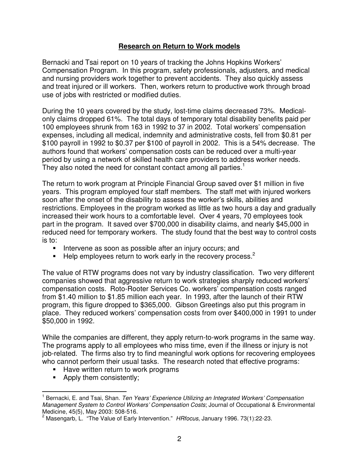## **Research on Return to Work models**

Bernacki and Tsai report on 10 years of tracking the Johns Hopkins Workers' Compensation Program. In this program, safety professionals, adjusters, and medical and nursing providers work together to prevent accidents. They also quickly assess and treat injured or ill workers. Then, workers return to productive work through broad use of jobs with restricted or modified duties.

During the 10 years covered by the study, lost-time claims decreased 73%. Medicalonly claims dropped 61%. The total days of temporary total disability benefits paid per 100 employees shrunk from 163 in 1992 to 37 in 2002. Total workers' compensation expenses, including all medical, indemnity and administrative costs, fell from \$0.81 per \$100 payroll in 1992 to \$0.37 per \$100 of payroll in 2002. This is a 54% decrease. The authors found that workers' compensation costs can be reduced over a multi-year period by using a network of skilled health care providers to address worker needs. They also noted the need for constant contact among all parties.<sup>1</sup>

The return to work program at Principle Financial Group saved over \$1 million in five years. This program employed four staff members. The staff met with injured workers soon after the onset of the disability to assess the worker's skills, abilities and restrictions. Employees in the program worked as little as two hours a day and gradually increased their work hours to a comfortable level. Over 4 years, 70 employees took part in the program. It saved over \$700,000 in disability claims, and nearly \$45,000 in reduced need for temporary workers. The study found that the best way to control costs is to:

- Intervene as soon as possible after an injury occurs; and
- $\blacksquare$  Help employees return to work early in the recovery process.<sup>2</sup>

The value of RTW programs does not vary by industry classification. Two very different companies showed that aggressive return to work strategies sharply reduced workers' compensation costs. Roto-Rooter Services Co. workers' compensation costs ranged from \$1.40 million to \$1.85 million each year. In 1993, after the launch of their RTW program, this figure dropped to \$365,000. Gibson Greetings also put this program in place. They reduced workers' compensation costs from over \$400,000 in 1991 to under \$50,000 in 1992.

While the companies are different, they apply return-to-work programs in the same way. The programs apply to all employees who miss time, even if the illness or injury is not job-related. The firms also try to find meaningful work options for recovering employees who cannot perform their usual tasks. The research noted that effective programs:

- **Have written return to work programs**
- Apply them consistently;

 $\overline{\phantom{a}}$ 1 Bernacki, E. and Tsai, Shan. Ten Years' Experience Utilizing an Integrated Workers' Compensation Management System to Control Workers' Compensation Costs; Journal of Occupational & Environmental

Medicine, 45(5), May 2003: 508-516.<br><sup>2</sup> Masengarb, L. "The Value of Early Intervention." *HRfocus*, January 1996. 73(1):22-23.